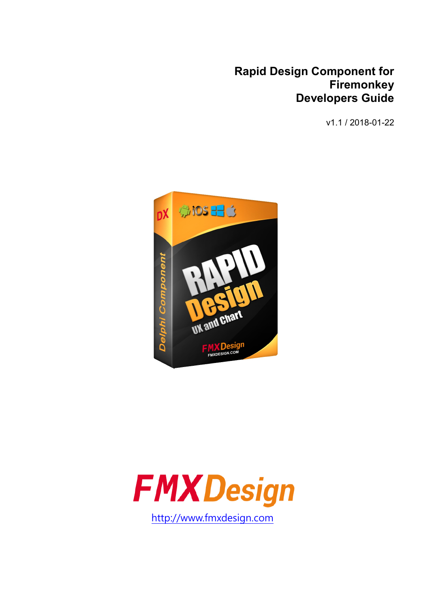#### **Rapid Design Component for Firemonkey Developers Guide**

v1.1 / 2018-01-22



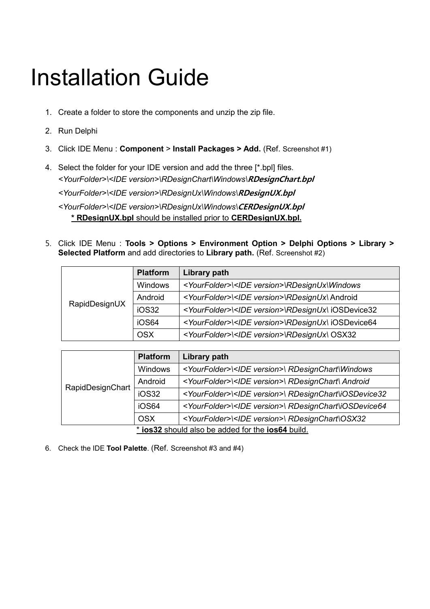## Installation Guide

- 1. Create a folder to store the components and unzip the zip file.
- 2. Run Delphi
- 3. Click IDE Menu : **Component** > **Install Packages > Add.** (Ref. Screenshot #1)
- 4. Select the folder for your IDE version and add the three [\*.bpl] files. *<YourFolder>\<IDE version>\RDesignChart\Windows\*RDesignChart.bpl *<YourFolder>\<IDE version>\RDesignUx\Windows\*RDesignUX.bpl *<YourFolder>\<IDE version>\RDesignUx\Windows\*CERDesignUX.bpl

**\* RDesignUX.bpl** should be installed prior to **CERDesignUX.bpl.**

5. Click IDE Menu : **Tools > Options > Environment Option > Delphi Options > Library > Selected Platform** and add directories to **Library path.** (Ref. Screenshot #2)

| RapidDesignUX | <b>Platform</b> | Library path                                                            |
|---------------|-----------------|-------------------------------------------------------------------------|
|               | <b>Windows</b>  | <yourfolder>\<ide version="">\RDesignUx\Windows</ide></yourfolder>      |
|               | Android         | <yourfolder>\<ide version="">\RDesignUx\ Android</ide></yourfolder>     |
|               | iOS32           | <yourfolder>\<ide version="">\RDesignUx\ iOSDevice32</ide></yourfolder> |
|               | iOS64           | <yourfolder>\<ide version="">\RDesignUx\ iOSDevice64</ide></yourfolder> |
|               | <b>OSX</b>      | <yourfolder>\<ide version="">\RDesignUx\ OSX32</ide></yourfolder>       |

|                                                   | <b>Platform</b> | Library path                                                              |
|---------------------------------------------------|-----------------|---------------------------------------------------------------------------|
|                                                   | Windows         | <yourfolder>\<ide version="">\ RDesignChart\Windows</ide></yourfolder>    |
|                                                   | Android         | <yourfolder>\<ide version="">\ RDesignChart\ Android</ide></yourfolder>   |
| RapidDesignChart                                  | iOS32           | <yourfolder>\<ide version="">\RDesignChart\iOSDevice32</ide></yourfolder> |
|                                                   | iOS64           | <yourfolder>\<ide version="">\RDesignChart\iOSDevice64</ide></yourfolder> |
|                                                   | <b>OSX</b>      | <yourfolder>\<ide version="">\ RDesignChart\OSX32</ide></yourfolder>      |
| * ios32 should also be added for the ios64 build. |                 |                                                                           |

6. Check the IDE **Tool Palette**. (Ref. Screenshot #3 and #4)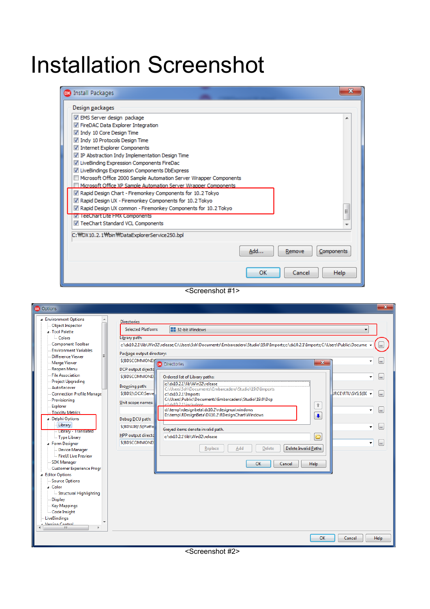## Installation Screenshot

| <b>DX</b> Install Packages                                        |     |        | $\overline{\mathbf{x}}$ |
|-------------------------------------------------------------------|-----|--------|-------------------------|
| Design packages                                                   |     |        |                         |
| EMS Server design package                                         |     |        |                         |
| FireDAC Data Explorer Integration                                 |     |        |                         |
| Indy 10 Core Design Time                                          |     |        |                         |
| Indy 10 Protocols Design Time                                     |     |        |                         |
| √ Internet Explorer Components                                    |     |        |                         |
| TP Abstraction Indy Implementation Design Time                    |     |        |                         |
| V LiveBinding Expression Components FireDac                       |     |        |                         |
| V LiveBindings Expression Components DbExpress                    |     |        |                         |
| Microsoft Office 2000 Sample Automation Server Wrapper Components |     |        |                         |
| Microsoft Office XP Sample Automation Server Wrapper Components   |     |        |                         |
| Rapid Design Chart - Firemonkey Components for 10.2 Tokyo         |     |        |                         |
| 7 Rapid Design UX - Firemonkey Components for 10.2 Tokyo          |     |        |                         |
| √ Rapid Design UX common - Firemonkey Components for 10.2 Tokyo   |     |        | Ξ                       |
| V leeChart Lite FMX Components                                    |     |        |                         |
| TeeChart Standard VCL Components                                  |     |        |                         |
| C: WDX10.2.1 Wbin WDataExplorerService 250.bpl                    |     |        |                         |
|                                                                   |     |        |                         |
|                                                                   | Add | Remove | Components              |
|                                                                   | OK  | Cancel | <b>Help</b>             |

<Screenshot #1>

| <b>DX</b> Options                                                                                                                                                                                                                                                                                                                                                                                                                                                                                                                                                                                                                                                                                                                                            | $\mathbf{x}$                                                                                                                                                                                                                                                                                                                                                                                                                                                                                                                                                                                                                                                                                                                                                                                                                                                                                                                                                                                                                                                            |
|--------------------------------------------------------------------------------------------------------------------------------------------------------------------------------------------------------------------------------------------------------------------------------------------------------------------------------------------------------------------------------------------------------------------------------------------------------------------------------------------------------------------------------------------------------------------------------------------------------------------------------------------------------------------------------------------------------------------------------------------------------------|-------------------------------------------------------------------------------------------------------------------------------------------------------------------------------------------------------------------------------------------------------------------------------------------------------------------------------------------------------------------------------------------------------------------------------------------------------------------------------------------------------------------------------------------------------------------------------------------------------------------------------------------------------------------------------------------------------------------------------------------------------------------------------------------------------------------------------------------------------------------------------------------------------------------------------------------------------------------------------------------------------------------------------------------------------------------------|
| ⊿ Environment Options<br><b>Object Inspector</b><br><b>4</b> Tool Palette<br>Colors<br><b>Component Toolbar</b><br><b>Environment Variables</b><br>Difference Viewer<br>Merge Viewer<br>Reopen Menu<br>File Association<br><b>Project Upgrading</b><br>AutoRecover<br><b>Connection Profile Manage</b><br>Provisioning<br>Explorer<br><b>Toxicity Metrics</b><br>▲ Delphi Options<br>Library<br>Library - Translated<br>Type Library<br>▲ Form Designer<br><b>Device Manager</b><br>FireUI Live Preview<br><b>SDK Manager</b><br>Customer Experience Progr.<br><b>Editor Options</b><br><b>Source Options</b><br>⊿ Color<br>Structural Highlighting<br><b>Display</b><br><b>Key Mappings</b><br>Code Insight<br>LiveBindinas<br><b>Verrinn Control</b><br>m. | <b>Directories</b><br>32-bit Windows<br><b>Selected Platform:</b><br>Library path:<br>c:\dx10.2.1\lib\Win32\release;C:\Users\5sh\Documents\Embarcadero\Studio\19.0\Imports;c:\dx10.2.1\Imports;C:\Users\Public\Docume -<br>Package output directory:<br><b>S(BDSCOMMOND)</b><br>٠<br>$\mathbf{x}$<br>$\cdots$<br><b>Directories</b><br>DCP output directd<br>\$(BDSCOMMOND)<br>Ordered list of Library paths:<br>c:\dx10.2.1\lib\Win32\release<br>Browsing path:<br>C:\Users\5sh\Documents\Embarcadero\Studio\19.0\Imports<br><b>JRCE\RTL\SYS:S(BE +</b><br>\$(BDS)\OCX\Serve<br>c:\dx10.2.1\Imports<br>C:\Users\Public\Documents\Embarcadero\Studio\19.0\Dcp<br>Unit scope names:<br>c:\dx10.2.1\includeee<br>÷<br>d:\temp\rdesignbeta\dx10.2\rdesignux\windows<br>D:\temp\RDesignBeta\DX10.2\RDesignChart\Windows<br>۰<br>Debug DCU path:<br>\$(BDSLIB)\\$(Platfo<br>Greyed items denote invalid path.<br>HPP output directd<br>Ò<br>c:\dx10.2.1\lib\Win32\release<br>\$(BDSCOMMOND)<br>٠<br>Delete<br>Delete Invalid Paths<br>Replace<br>Add<br>OK<br>Help<br>Cancel |
|                                                                                                                                                                                                                                                                                                                                                                                                                                                                                                                                                                                                                                                                                                                                                              | OK<br>Cancel<br>Help                                                                                                                                                                                                                                                                                                                                                                                                                                                                                                                                                                                                                                                                                                                                                                                                                                                                                                                                                                                                                                                    |

<Screenshot #2>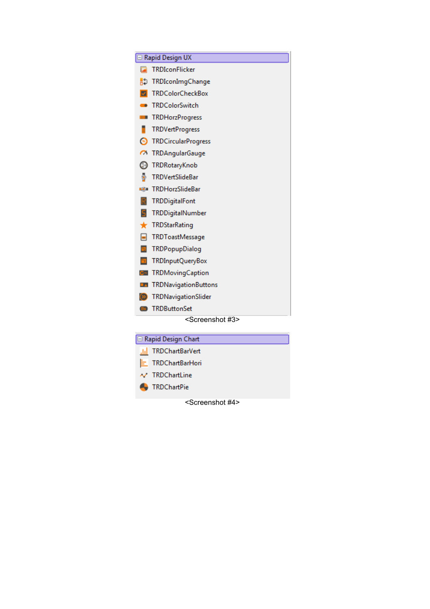|             | <b>E</b> Rapid Design UX        |
|-------------|---------------------------------|
| <b>Part</b> | <b>TRDIconFlicker</b>           |
|             | <b>RD</b> TRDIconImgChange      |
|             | <b>Z</b> TRDColorCheckBox       |
| - -         | TRDColorSwitch                  |
| Ш           | TRDHorzProgress                 |
|             | <b>TRDVertProgress</b>          |
|             | <b>S</b> TRDCircularProgress    |
|             | 7 TRDAngularGauge               |
|             | <b>B</b> TRDRotaryKnob          |
| ÷           | <b>TRDVertSlideBar</b>          |
|             | <b>EXECUTE TRDHorzSlideBar</b>  |
| R           | TRDDigitalFont                  |
| 5           | TRDDigitalNumber                |
|             | $\bigstar$ TRDStarRating        |
|             | <b>FRDToastMessage</b>          |
| <b>B</b>    | TRDPopupDialog                  |
| 司           | TRDInputQueryBox                |
|             | <b>G</b> TRDMovingCaption       |
|             | <b>Ext</b> TRDNavigationButtons |
|             | (>> TRDNavigationSlider         |
|             | <b>BB</b> TRDButtonSet          |
|             | <screenshot #3=""></screenshot> |

| □ Rapid Design Chart        |  |
|-----------------------------|--|
| Jil TRDChartBarVert         |  |
| E TRDChartBarHori           |  |
| $\sim$ TRDChartLine         |  |
| <b>Contract TRDChartPie</b> |  |
|                             |  |

<Screenshot #4>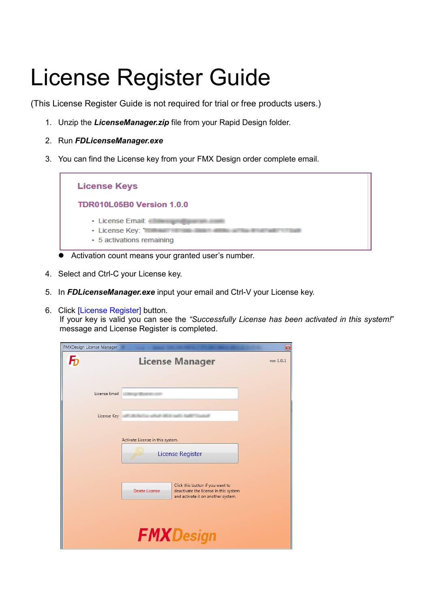## License Register Guide

(This License Register Guide is not required for trial or free products users.)

- 1. Unzip the *LicenseManager.zip* file from your Rapid Design folder.
- 2. Run *FDLicenseManager.exe*
- 3. You can find the License key from your FMX Design order complete email.



- Activation count means your granted user's number.
- 4. Select and Ctrl-C your License key.
- 5. In *FDLicenseManager.exe* input your email and Ctrl-V your License key.
- 6. Click [License Register] button.

If your key is valid you can see the *"Successfully License has been activated in this system!*" message and License Register is completed.

| FMXDesign License Manager |                                                                                               | $\mathbf{z}$ |
|---------------------------|-----------------------------------------------------------------------------------------------|--------------|
| $\boldsymbol{\mathsf{F}}$ | <b>License Manager</b>                                                                        | ver 1.0.1    |
| License Email             |                                                                                               |              |
| License Key               |                                                                                               |              |
|                           | Activate License in this system.                                                              |              |
|                           | License Register                                                                              |              |
|                           | Click this button if you want to                                                              |              |
|                           | Delete License<br>deactivate the license in this system<br>and activate it on another system. |              |
|                           |                                                                                               |              |
|                           | <b>FMXDesign</b>                                                                              |              |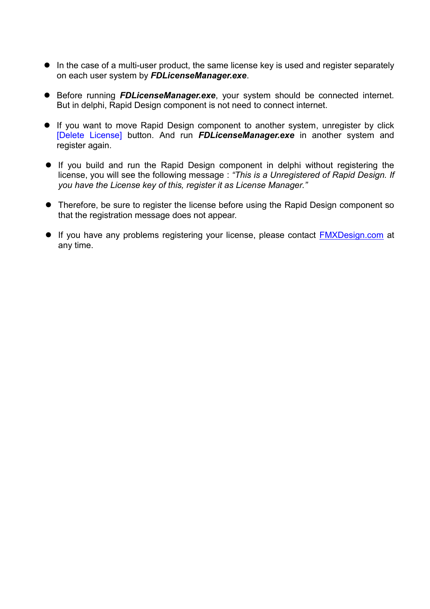- In the case of a multi-user product, the same license key is used and register separately on each user system by *FDLicenseManager.exe*.
- Before running *FDLicenseManager.exe*, your system should be connected internet. But in delphi, Rapid Design component is not need to connect internet.
- If you want to move Rapid Design component to another system, unregister by click [Delete License] button. And run *FDLicenseManager.exe* in another system and register again.
- If you build and run the Rapid Design component in delphi without registering the license, you will see the following message : *"This is a Unregistered of Rapid Design. If you have the License key of this, register it as License Manager."*
- Therefore, be sure to register the license before using the Rapid Design component so that the registration message does not appear.
- **If you have any problems registering your license, please contact [FMXDesign.com](http://fmxdesign.com/questions/) at** any time.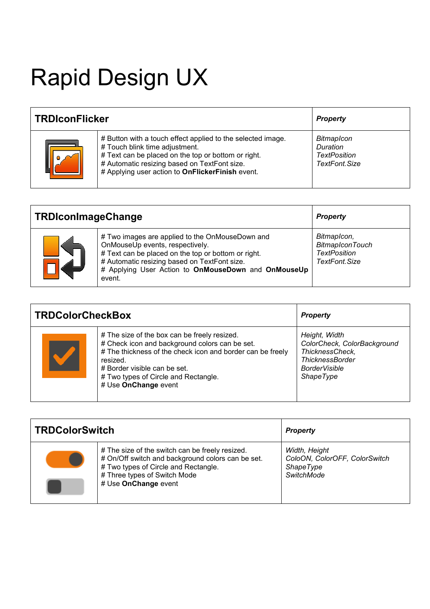# Rapid Design UX

| <b>TRDIconFlicker</b> |                                                                                                                                                                                                                                                          | <b>Property</b>                                                       |
|-----------------------|----------------------------------------------------------------------------------------------------------------------------------------------------------------------------------------------------------------------------------------------------------|-----------------------------------------------------------------------|
|                       | # Button with a touch effect applied to the selected image.<br># Touch blink time adjustment.<br># Text can be placed on the top or bottom or right.<br># Automatic resizing based on TextFont size.<br># Applying user action to OnFlickerFinish event. | <b>BitmapIcon</b><br>Duration<br><b>TextPosition</b><br>TextFont Size |

| <b>TRDIconImageChange</b> |                                                                                                                                                                                                                                                            | <b>Property</b>                                                                |
|---------------------------|------------------------------------------------------------------------------------------------------------------------------------------------------------------------------------------------------------------------------------------------------------|--------------------------------------------------------------------------------|
|                           | # Two images are applied to the OnMouseDown and<br>OnMouseUp events, respectively.<br># Text can be placed on the top or bottom or right.<br># Automatic resizing based on TextFont size.<br># Applying User Action to OnMouseDown and OnMouseUp<br>event. | BitmapIcon,<br><b>BitmapIconTouch</b><br><b>TextPosition</b><br>TextFont, Size |

| <b>TRDColorCheckBox</b> |                                                                                                                                                                                                                                                                          | <b>Property</b>                                                                                                                       |
|-------------------------|--------------------------------------------------------------------------------------------------------------------------------------------------------------------------------------------------------------------------------------------------------------------------|---------------------------------------------------------------------------------------------------------------------------------------|
|                         | # The size of the box can be freely resized.<br># Check icon and background colors can be set.<br># The thickness of the check icon and border can be freely<br>resized.<br># Border visible can be set.<br># Two types of Circle and Rectangle.<br># Use OnChange event | Height, Width<br>ColorCheck, ColorBackground<br>ThicknessCheck,<br><b>ThicknessBorder</b><br><b>BorderVisible</b><br><b>ShapeType</b> |

| <b>TRDColorSwitch</b> |                                                                                                                                                                                                      | <b>Property</b>                                                                  |
|-----------------------|------------------------------------------------------------------------------------------------------------------------------------------------------------------------------------------------------|----------------------------------------------------------------------------------|
|                       | # The size of the switch can be freely resized.<br># On/Off switch and background colors can be set.<br># Two types of Circle and Rectangle.<br># Three types of Switch Mode<br># Use OnChange event | Width, Height<br>ColoON, ColorOFF, ColorSwitch<br><b>ShapeType</b><br>SwitchMode |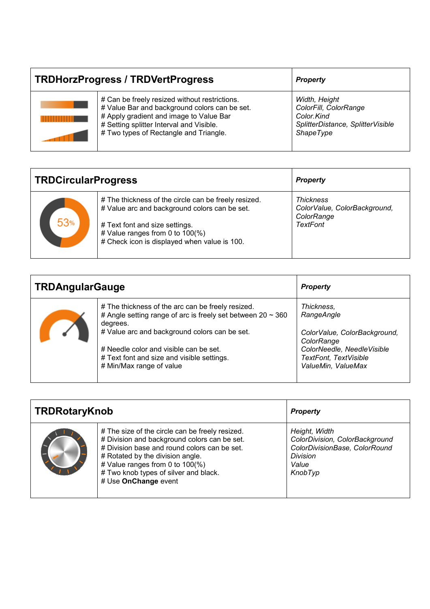| <b>TRDHorzProgress / TRDVertProgress</b> |                                                                                                                                                                                                                                 | <b>Property</b>                                                                                               |
|------------------------------------------|---------------------------------------------------------------------------------------------------------------------------------------------------------------------------------------------------------------------------------|---------------------------------------------------------------------------------------------------------------|
|                                          | # Can be freely resized without restrictions.<br># Value Bar and background colors can be set.<br># Apply gradient and image to Value Bar<br># Setting splitter Interval and Visible.<br># Two types of Rectangle and Triangle. | Width, Height<br>ColorFill, ColorRange<br>Color.Kind<br>SplitterDistance, SplitterVisible<br><b>ShapeType</b> |

| <b>TRDCircularProgress</b> |                                                                                                                                                                                                                            | <b>Property</b>                                                     |
|----------------------------|----------------------------------------------------------------------------------------------------------------------------------------------------------------------------------------------------------------------------|---------------------------------------------------------------------|
| 53%                        | # The thickness of the circle can be freely resized.<br># Value arc and background colors can be set.<br># Text font and size settings.<br># Value ranges from 0 to 100(%)<br># Check icon is displayed when value is 100. | Thickness<br>ColorValue, ColorBackground,<br>ColorRange<br>TextFont |

| <b>TRDAngularGauge</b> |                                                                                                                                   | <b>Property</b>                            |
|------------------------|-----------------------------------------------------------------------------------------------------------------------------------|--------------------------------------------|
|                        | # The thickness of the arc can be freely resized.<br># Angle setting range of arc is freely set between $20 \sim 360$<br>degrees. | Thickness,<br>RangeAngle                   |
|                        | # Value arc and background colors can be set.                                                                                     | ColorValue, ColorBackground,<br>ColorRange |
|                        | # Needle color and visible can be set.                                                                                            | ColorNeedle, NeedleVisible                 |
|                        | # Text font and size and visible settings.                                                                                        | <b>TextFont, TextVisible</b>               |
|                        | # Min/Max range of value                                                                                                          | ValueMin, ValueMax                         |

| <b>TRDRotaryKnob</b> |                                                                                                                                                                                                                                                                                         | <b>Property</b>                                                                                                         |
|----------------------|-----------------------------------------------------------------------------------------------------------------------------------------------------------------------------------------------------------------------------------------------------------------------------------------|-------------------------------------------------------------------------------------------------------------------------|
|                      | # The size of the circle can be freely resized.<br># Division and background colors can be set.<br># Division base and round colors can be set.<br># Rotated by the division angle.<br># Value ranges from 0 to 100(%)<br># Two knob types of silver and black.<br># Use OnChange event | Height, Width<br>ColorDivision, ColorBackground<br>ColorDivisionBase, ColorRound<br><b>Division</b><br>Value<br>KnobTyp |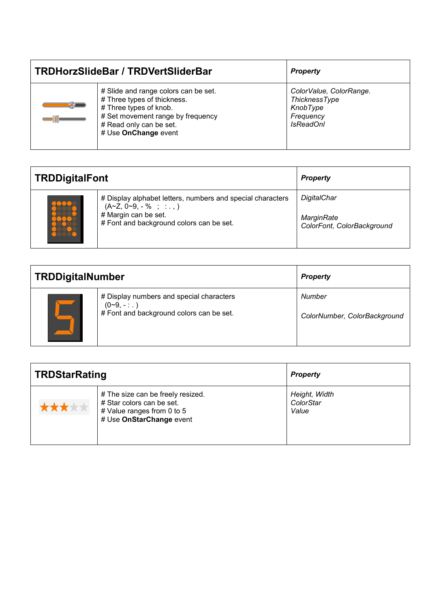| TRDHorzSlideBar / TRDVertSliderBar |                                                                                                                                                                                       | <b>Property</b>                                                                              |
|------------------------------------|---------------------------------------------------------------------------------------------------------------------------------------------------------------------------------------|----------------------------------------------------------------------------------------------|
| a m                                | # Slide and range colors can be set.<br># Three types of thickness.<br># Three types of knob.<br># Set movement range by frequency<br># Read only can be set.<br># Use OnChange event | ColorValue, ColorRange.<br><b>ThicknessType</b><br>KnobType<br>Frequency<br><b>IsReadOnl</b> |

| <b>TRDDigitalFont</b> |                                                                                                                                                              | <b>Property</b>                                         |
|-----------------------|--------------------------------------------------------------------------------------------------------------------------------------------------------------|---------------------------------------------------------|
|                       | # Display alphabet letters, numbers and special characters<br>$(A~Z, 0~9, -\% ; : : , )$<br># Margin can be set.<br># Font and background colors can be set. | DigitalChar<br>MarginRate<br>ColorFont, ColorBackground |

| <b>TRDDigitalNumber</b> |                                                                                                     | <b>Property</b>                        |
|-------------------------|-----------------------------------------------------------------------------------------------------|----------------------------------------|
|                         | # Display numbers and special characters<br>$(0-9,--.)$<br># Font and background colors can be set. | Number<br>ColorNumber, ColorBackground |

| <b>TRDStarRating</b> |                                                                                                                          | <b>Property</b>                     |
|----------------------|--------------------------------------------------------------------------------------------------------------------------|-------------------------------------|
| 全大大大                 | # The size can be freely resized.<br># Star colors can be set.<br># Value ranges from 0 to 5<br># Use OnStarChange event | Height, Width<br>ColorStar<br>Value |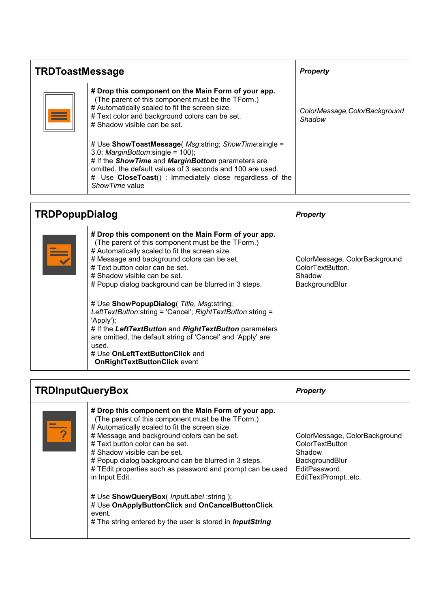| <b>TRDToastMessage</b> |                                                                                                                                                                                                                                                                                                  | <b>Property</b>                         |
|------------------------|--------------------------------------------------------------------------------------------------------------------------------------------------------------------------------------------------------------------------------------------------------------------------------------------------|-----------------------------------------|
|                        | # Drop this component on the Main Form of your app.<br>(The parent of this component must be the TForm.)<br># Automatically scaled to fit the screen size.<br># Text color and background colors can be set.<br># Shadow visible can be set.                                                     | ColorMessage, ColorBackground<br>Shadow |
|                        | # Use ShowToastMessage( Msg:string; ShowTime:single =<br>3.0; MarginBottom: single = $100$ );<br># If the Show Time and Margin Bottom parameters are<br>omitted, the default values of 3 seconds and 100 are used.<br># Use CloseToast(): Immediately close regardless of the<br>Show Time value |                                         |

| <b>TRDPopupDialog</b> |                                                                                                                                                                                                                                                                                                                                                                                                                                                                                                                                                                                                                                                                          | <b>Property</b>                                                               |
|-----------------------|--------------------------------------------------------------------------------------------------------------------------------------------------------------------------------------------------------------------------------------------------------------------------------------------------------------------------------------------------------------------------------------------------------------------------------------------------------------------------------------------------------------------------------------------------------------------------------------------------------------------------------------------------------------------------|-------------------------------------------------------------------------------|
| $\equiv$              | # Drop this component on the Main Form of your app.<br>(The parent of this component must be the TForm.)<br># Automatically scaled to fit the screen size.<br># Message and background colors can be set.<br># Text button color can be set.<br># Shadow visible can be set.<br># Popup dialog background can be blurred in 3 steps.<br># Use ShowPopupDialog( Title, Msg:string;<br>LeftTextButton:string = 'Cancel'; RightTextButton:string =<br>'Apply');<br># If the LeftTextButton and RightTextButton parameters<br>are omitted, the default string of 'Cancel' and 'Apply' are<br>used.<br># Use OnLeftTextButtonClick and<br><b>OnRightTextButtonClick event</b> | ColorMessage, ColorBackground<br>ColorTextButton.<br>Shadow<br>BackgroundBlur |

| <b>TRDInputQueryBox</b> |                                                                                                                                                                                                                                                                                                                                                                                                                                                                                                                                                                                                       | <b>Property</b>                                                                                                     |
|-------------------------|-------------------------------------------------------------------------------------------------------------------------------------------------------------------------------------------------------------------------------------------------------------------------------------------------------------------------------------------------------------------------------------------------------------------------------------------------------------------------------------------------------------------------------------------------------------------------------------------------------|---------------------------------------------------------------------------------------------------------------------|
|                         | # Drop this component on the Main Form of your app.<br>(The parent of this component must be the TForm.)<br># Automatically scaled to fit the screen size.<br># Message and background colors can be set.<br># Text button color can be set.<br># Shadow visible can be set.<br># Popup dialog background can be blurred in 3 steps.<br># TEdit properties such as password and prompt can be used<br>in Input Edit.<br># Use ShowQueryBox( InputLabel :string );<br># Use OnApplyButtonClick and OnCancelButtonClick<br>event.<br># The string entered by the user is stored in <i>InputString</i> . | ColorMessage, ColorBackground<br>ColorTextButton<br>Shadow<br>BackgroundBlur<br>EditPassword,<br>EditTextPromptetc. |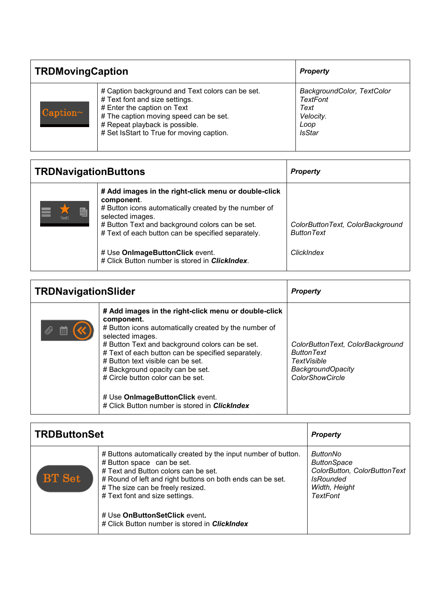| <b>TRDMovingCaption</b> |                                                                                                                                                                                                                                            | <b>Property</b>                                                                      |
|-------------------------|--------------------------------------------------------------------------------------------------------------------------------------------------------------------------------------------------------------------------------------------|--------------------------------------------------------------------------------------|
| Caption~                | # Caption background and Text colors can be set.<br># Text font and size settings.<br># Enter the caption on Text<br># The caption moving speed can be set.<br># Repeat playback is possible.<br># Set IsStart to True for moving caption. | BackgroundColor, TextColor<br>TextFont<br>Text<br>Velocity.<br>Loop<br><b>IsStar</b> |

| <b>TRDNavigationButtons</b> |                                                                                                                                                                                                                                                          | <b>Property</b>                                       |
|-----------------------------|----------------------------------------------------------------------------------------------------------------------------------------------------------------------------------------------------------------------------------------------------------|-------------------------------------------------------|
| $\blacksquare$<br>Text1     | # Add images in the right-click menu or double-click<br>component.<br># Button icons automatically created by the number of<br>selected images.<br># Button Text and background colors can be set.<br># Text of each button can be specified separately. | ColorButtonText, ColorBackground<br><b>ButtonText</b> |
|                             | # Use OnlmageButtonClick event.<br># Click Button number is stored in ClickIndex.                                                                                                                                                                        | ClickIndex                                            |

| <b>TRDNavigationSlider</b> |                                                                                                                                                                                                                                                                                                                                                                                                                                                            | <b>Property</b>                                                                                                            |
|----------------------------|------------------------------------------------------------------------------------------------------------------------------------------------------------------------------------------------------------------------------------------------------------------------------------------------------------------------------------------------------------------------------------------------------------------------------------------------------------|----------------------------------------------------------------------------------------------------------------------------|
| 箘                          | # Add images in the right-click menu or double-click<br>component.<br># Button icons automatically created by the number of<br>selected images.<br># Button Text and background colors can be set.<br># Text of each button can be specified separately.<br># Button text visible can be set.<br># Background opacity can be set.<br># Circle button color can be set.<br># Use OnImageButtonClick event.<br># Click Button number is stored in ClickIndex | ColorButtonText, ColorBackground<br><b>ButtonText</b><br>TextVisible<br><b>BackgroundOpacity</b><br><b>ColorShowCircle</b> |

| <b>TRDButtonSet</b> |                                                                                                                                                                                                                                                                                                                                                                    | <b>Property</b>                                                                                                        |
|---------------------|--------------------------------------------------------------------------------------------------------------------------------------------------------------------------------------------------------------------------------------------------------------------------------------------------------------------------------------------------------------------|------------------------------------------------------------------------------------------------------------------------|
| <b>BT</b> Set       | # Buttons automatically created by the input number of button.<br># Button space can be set.<br># Text and Button colors can be set.<br># Round of left and right buttons on both ends can be set.<br># The size can be freely resized.<br># Text font and size settings.<br># Use OnButtonSetClick event.<br># Click Button number is stored in <i>ClickIndex</i> | ButtonNo<br><b>ButtonSpace</b><br>ColorButton, ColorButtonText<br><b>IsRounded</b><br>Width, Height<br><b>TextFont</b> |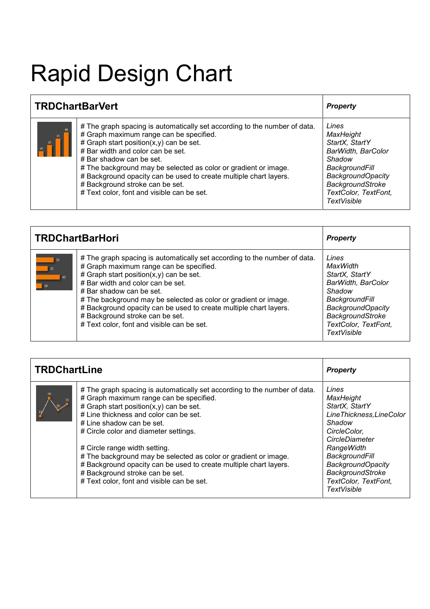# Rapid Design Chart

| <b>TRDChartBarVert</b> |                                                                                                                                                                                                                                                                                                                                                                                                                                                               | <b>Property</b>                                                                                                                                                                             |
|------------------------|---------------------------------------------------------------------------------------------------------------------------------------------------------------------------------------------------------------------------------------------------------------------------------------------------------------------------------------------------------------------------------------------------------------------------------------------------------------|---------------------------------------------------------------------------------------------------------------------------------------------------------------------------------------------|
|                        | # The graph spacing is automatically set according to the number of data.<br># Graph maximum range can be specified.<br># Graph start position $(x, y)$ can be set.<br># Bar width and color can be set.<br># Bar shadow can be set.<br># The background may be selected as color or gradient or image.<br># Background opacity can be used to create multiple chart layers.<br># Background stroke can be set.<br># Text color, font and visible can be set. | Lines<br><b>MaxHeight</b><br>StartX, StartY<br>BarWidth, BarColor<br>Shadow<br>BackgroundFill<br><b>BackgroundOpacity</b><br><b>BackgroundStroke</b><br>TextColor, TextFont,<br>TextVisible |

| <b>TRDChartBarHori</b> |                                                                                                                                                                                                                                                                                                                                                                                                                                                               | <b>Property</b>                                                                                                                                                                     |
|------------------------|---------------------------------------------------------------------------------------------------------------------------------------------------------------------------------------------------------------------------------------------------------------------------------------------------------------------------------------------------------------------------------------------------------------------------------------------------------------|-------------------------------------------------------------------------------------------------------------------------------------------------------------------------------------|
| 30<br>20<br>40<br>10   | # The graph spacing is automatically set according to the number of data.<br># Graph maximum range can be specified.<br># Graph start position $(x, y)$ can be set.<br># Bar width and color can be set.<br># Bar shadow can be set.<br># The background may be selected as color or gradient or image.<br># Background opacity can be used to create multiple chart layers.<br># Background stroke can be set.<br># Text color, font and visible can be set. | Lines<br>MaxWidth<br>StartX, StartY<br>BarWidth, BarColor<br>Shadow<br>BackgroundFill<br><b>BackgroundOpacity</b><br><b>BackgroundStroke</b><br>TextColor, TextFont,<br>TextVisible |

| <b>TRDChartLine</b> |                                                                                                                                                                                                                                                                                                                                                                                                                                                                                                                                              | <b>Property</b>                                                                                                                                                                                                                            |
|---------------------|----------------------------------------------------------------------------------------------------------------------------------------------------------------------------------------------------------------------------------------------------------------------------------------------------------------------------------------------------------------------------------------------------------------------------------------------------------------------------------------------------------------------------------------------|--------------------------------------------------------------------------------------------------------------------------------------------------------------------------------------------------------------------------------------------|
|                     | # The graph spacing is automatically set according to the number of data.<br># Graph maximum range can be specified.<br># Graph start position $(x, y)$ can be set.<br># Line thickness and color can be set.<br># Line shadow can be set.<br># Circle color and diameter settings.<br># Circle range width setting.<br># The background may be selected as color or gradient or image.<br># Background opacity can be used to create multiple chart layers.<br>#Background stroke can be set.<br># Text color, font and visible can be set. | Lines<br>MaxHeight<br>StartX, StartY<br>LineThickness, LineColor<br>Shadow<br>CircleColor,<br>CircleDiameter<br>RangeWidth<br><b>BackgroundFill</b><br><b>BackgroundOpacity</b><br>BackgroundStroke<br>TextColor, TextFont,<br>TextVisible |